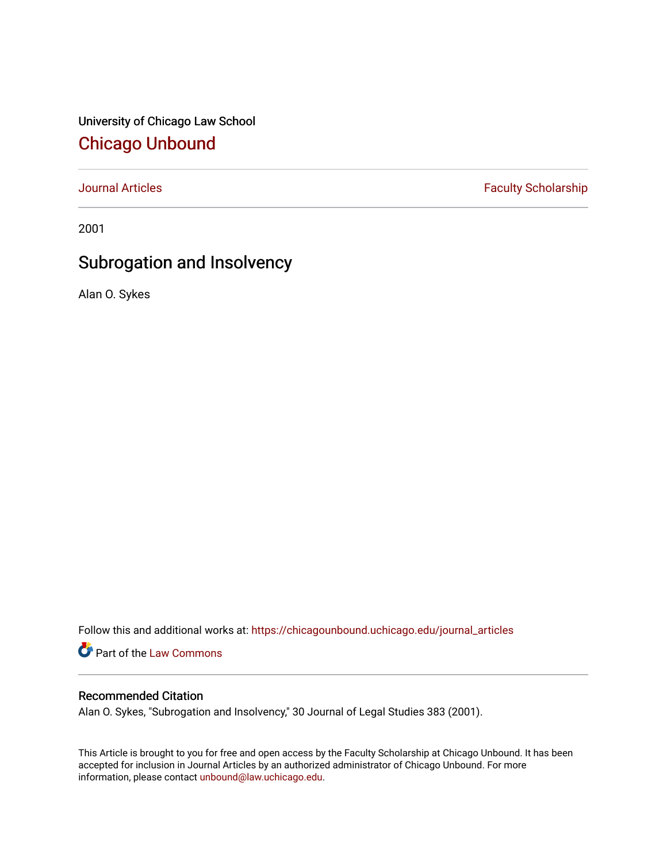University of Chicago Law School [Chicago Unbound](https://chicagounbound.uchicago.edu/)

[Journal Articles](https://chicagounbound.uchicago.edu/journal_articles) **Faculty Scholarship Faculty Scholarship** 

2001

# Subrogation and Insolvency

Alan O. Sykes

Follow this and additional works at: [https://chicagounbound.uchicago.edu/journal\\_articles](https://chicagounbound.uchicago.edu/journal_articles?utm_source=chicagounbound.uchicago.edu%2Fjournal_articles%2F9795&utm_medium=PDF&utm_campaign=PDFCoverPages) 

Part of the [Law Commons](http://network.bepress.com/hgg/discipline/578?utm_source=chicagounbound.uchicago.edu%2Fjournal_articles%2F9795&utm_medium=PDF&utm_campaign=PDFCoverPages)

# Recommended Citation

Alan O. Sykes, "Subrogation and Insolvency," 30 Journal of Legal Studies 383 (2001).

This Article is brought to you for free and open access by the Faculty Scholarship at Chicago Unbound. It has been accepted for inclusion in Journal Articles by an authorized administrator of Chicago Unbound. For more information, please contact [unbound@law.uchicago.edu](mailto:unbound@law.uchicago.edu).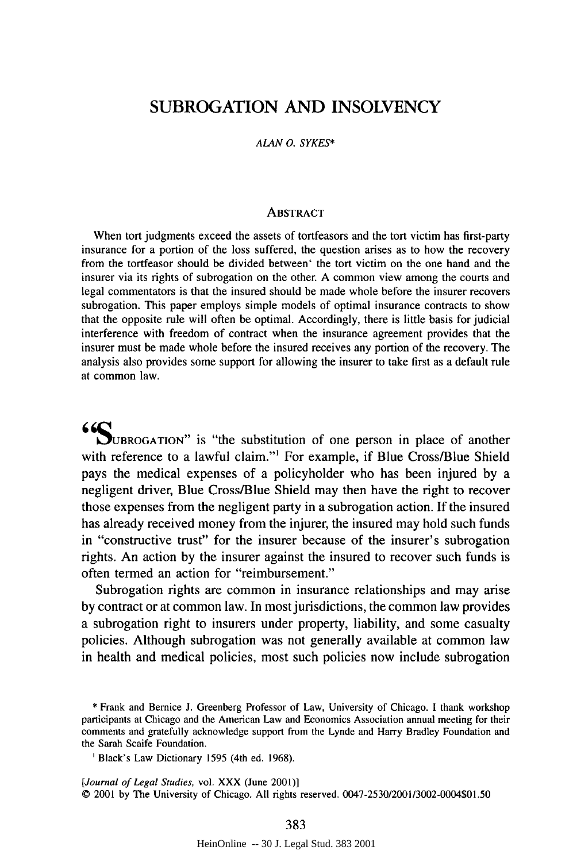# **SUBROGATION AND INSOLVENCY**

*ALAN 0. SYKES\**

#### ABSTRACT

When tort judgments exceed the assets of tortfeasors and the tort victim has first-party insurance for a portion of the loss suffered, the question arises as to how the recovery from the tortfeasor should be divided between' the tort victim on the one hand and the insurer via its rights of subrogation on the other. A common view among the courts and legal commentators is that the insured should be made whole before the insurer recovers subrogation. This paper employs simple models of optimal insurance contracts to show that the opposite rule will often be optimal. Accordingly, there is little basis for judicial interference with freedom of contract when the insurance agreement provides that the insurer must be made whole before the insured receives any portion of the recovery. The analysis also provides some support for allowing the insurer to take first as a default rule at common law.

**"SUBROGATION"** is "the substitution of one person in place of another with reference to a lawful claim."<sup>1</sup> For example, if Blue Cross/Blue Shield pays the medical expenses of a policyholder who has been injured by a negligent driver, Blue Cross/Blue Shield may then have the right to recover those expenses from the negligent party in a subrogation action. If the insured has already received money from the injurer, the insured may hold such funds in "constructive trust" for the insurer because of the insurer's subrogation rights. An action by the insurer against the insured to recover such funds is often termed an action for "reimbursement."

Subrogation rights are common in insurance relationships and may arise by contract or at common law. In most jurisdictions, the common law provides a subrogation right to insurers under property, liability, and some casualty policies. Although subrogation was not generally available at common law in health and medical policies, most such policies now include subrogation

[Journal of Legal Studies, vol. XXX (June 2001)] **D** 2001 **by** The University of Chicago. All rights reserved. 0047-2530/2001/3002-0004\$01.50

<sup>\*</sup> Frank and Bernice J. Greenberg Professor of Law, University of Chicago. I thank workshop participants at Chicago and the American Law and Economics Association annual meeting for their comments and gratefully acknowledge support from the Lynde and Harry Bradley Foundation and the Sarah Scaife Foundation.

Black's Law Dictionary 1595 (4th ed. 1968).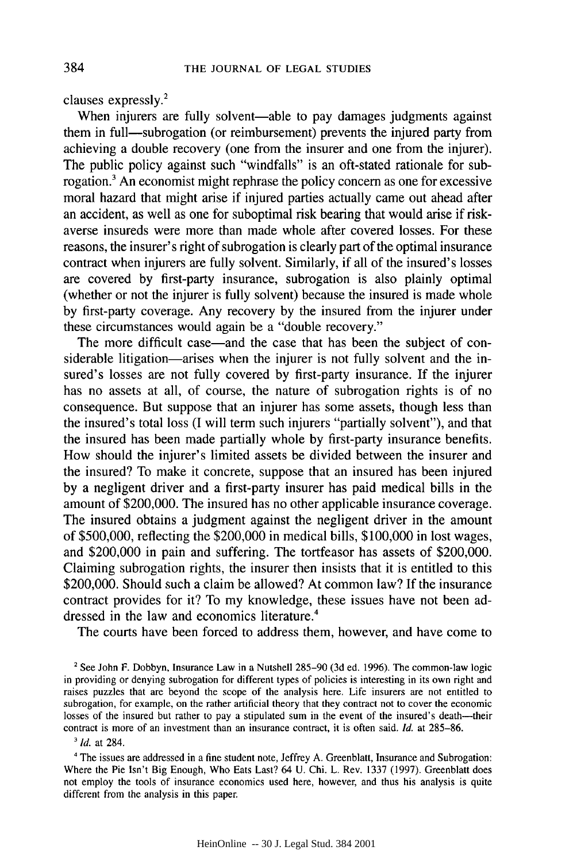clauses expressly.'

When injurers are fully solvent—able to pay damages judgments against them in full-subrogation (or reimbursement) prevents the injured party from achieving a double recovery (one from the insurer and one from the injurer). The public policy against such "windfalls" is an oft-stated rationale for subrogation.3 An economist might rephrase the policy concern as one for excessive moral hazard that might arise if injured parties actually came out ahead after an accident, as well as one for suboptimal risk bearing that would arise if riskaverse insureds were more than made whole after covered losses. For these reasons, the insurer's right of subrogation is clearly part of the optimal insurance contract when injurers are fully solvent. Similarly, if all of the insured's losses are covered by first-party insurance, subrogation is also plainly optimal (whether or not the injurer is fully solvent) because the insured is made whole by first-party coverage. Any recovery by the insured from the injurer under these circumstances would again be a "double recovery."

The more difficult case—and the case that has been the subject of considerable litigation—arises when the injurer is not fully solvent and the insured's losses are not fully covered by first-party insurance. If the injurer has no assets at all, of course, the nature of subrogation rights is of no consequence. But suppose that an injurer has some assets, though less than the insured's total loss (I will term such injurers "partially solvent"), and that the insured has been made partially whole by first-party insurance benefits. How should the injurer's limited assets be divided between the insurer and the insured? To make it concrete, suppose that an insured has been injured by a negligent driver and a first-party insurer has paid medical bills in the amount of \$200,000. The insured has no other applicable insurance coverage. The insured obtains a judgment against the negligent driver in the amount of \$500,000, reflecting the \$200,000 in medical bills, \$100,000 in lost wages, and \$200,000 in pain and suffering. The tortfeasor has assets of \$200,000. Claiming subrogation rights, the insurer then insists that it is entitled to this \$200,000. Should such a claim be allowed? At common law? If the insurance contract provides for it? To my knowledge, these issues have not been addressed in the law and economics literature.<sup>4</sup>

The courts have been forced to address them, however, and have come to

<sup>2</sup> See John F. Dobbyn, Insurance Law in a Nutshell 285-90 (3d ed. 1996). The common-law logic in providing or denying subrogation for different types of policies is interesting in its own right and raises puzzles that are beyond the scope of the analysis here. Life insurers are not entitled to subrogation, for example, on the rather artificial theory that they contract not to cover the economic losses of the insured but rather to pay a stipulated sum in the event of the insured's death--their contract is more of an investment than an insurance contract, it is often said. *Id.* at 285-86.

*Id.* at 284.

The issues are addressed in a fine student note, Jeffrey A. Greenblatt, Insurance and Subrogation: Where the Pie Isn't Big Enough, Who Eats Last? 64 U. Chi. L. Rev. 1337 (1997). Greenblatt does not employ the tools of insurance economics used here, however, and thus his analysis is quite different from the analysis in this paper.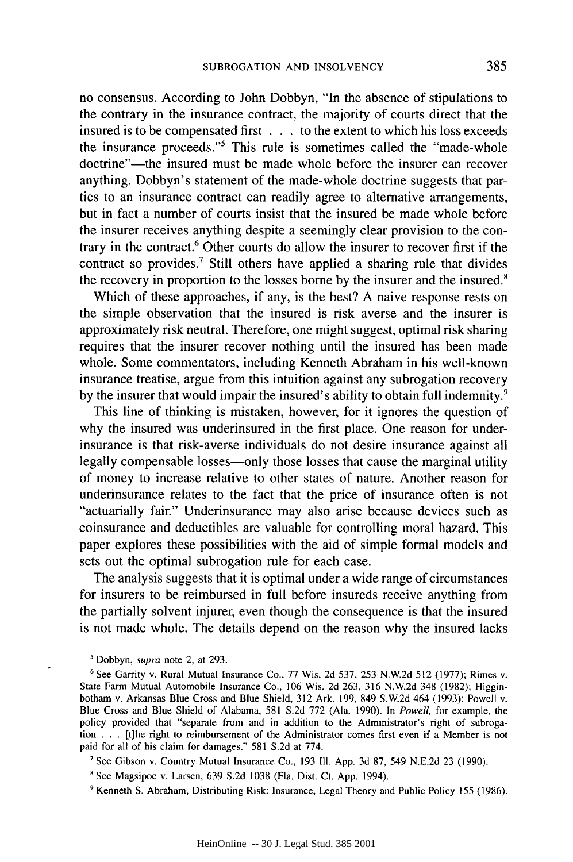no consensus. According to John Dobbyn, "In the absence of stipulations to the contrary in the insurance contract, the majority of courts direct that the insured is to be compensated first . . . to the extent to which his loss exceeds the insurance proceeds."5 This rule is sometimes called the "made-whole doctrine"—the insured must be made whole before the insurer can recover anything. Dobbyn's statement of the made-whole doctrine suggests that parties to an insurance contract can readily agree to alternative arrangements, but in fact a number of courts insist that the insured be made whole before the insurer receives anything despite a seemingly clear provision to the contrary in the contract.<sup>6</sup> Other courts do allow the insurer to recover first if the contract so provides.<sup>7</sup> Still others have applied a sharing rule that divides the recovery in proportion to the losses borne by the insurer and the insured.<sup>8</sup>

Which of these approaches, if any, is the best? A naive response rests on the simple observation that the insured is risk averse and the insurer is approximately risk neutral. Therefore, one might suggest, optimal risk sharing requires that the insurer recover nothing until the insured has been made whole. Some commentators, including Kenneth Abraham in his well-known insurance treatise, argue from this intuition against any subrogation recovery by the insurer that would impair the insured's ability to obtain full indemnity.<sup>9</sup>

This line of thinking is mistaken, however, for it ignores the question of why the insured was underinsured in the first place. One reason for underinsurance is that risk-averse individuals do not desire insurance against all legally compensable losses-only those losses that cause the marginal utility of money to increase relative to other states of nature. Another reason for underinsurance relates to the fact that the price of insurance often is not "actuarially fair." Underinsurance may also arise because devices such as coinsurance and deductibles are valuable for controlling moral hazard. This paper explores these possibilities with the aid of simple formal models and sets out the optimal subrogation rule for each case.

The analysis suggests that it is optimal under a wide range of circumstances for insurers to be reimbursed in full before insureds receive anything from the partially solvent injurer, even though the consequence is that the insured is not made whole. The details depend on the reason why the insured lacks

**6** See Garrity v. Rural Mutual Insurance Co., **77** Wis. **2d 537,** 253 N.W.2d 512 (1977); Rimes v. State Farm Mutual Automobile Insurance Co., 106 Wis. 2d 263, 316 N.W.2d 348 (1982); Higginbotham v. Arkansas Blue Cross and Blue Shield, 312 Ark. 199, 849 S.W.2d 464 (1993); Powell v. Blue Cross and Blue Shield of Alabama, 581 S.2d 772 (Ala. 1990). In *Powell,* for example, the policy provided that "separate from and in addition to the Administrator's right of subrogation . . . [t]he right to reimbursement of the Administrator comes first even if a Member is not paid for all of his claim for damages." 581 S.2d at 774.

<sup>7</sup> See Gibson v. Country Mutual Insurance Co., 193 Ill. App. 3d 87, 549 N.E.2d 23 (1990).

See Magsipoc v. Larsen, 639 S.2d 1038 (Fla. Dist. Ct. App. 1994).

<sup>9</sup> Kenneth S. Abraham, Distributing Risk: Insurance, Legal Theory and Public Policy 155 (1986).

Dobbyn, *supra* note 2, at 293.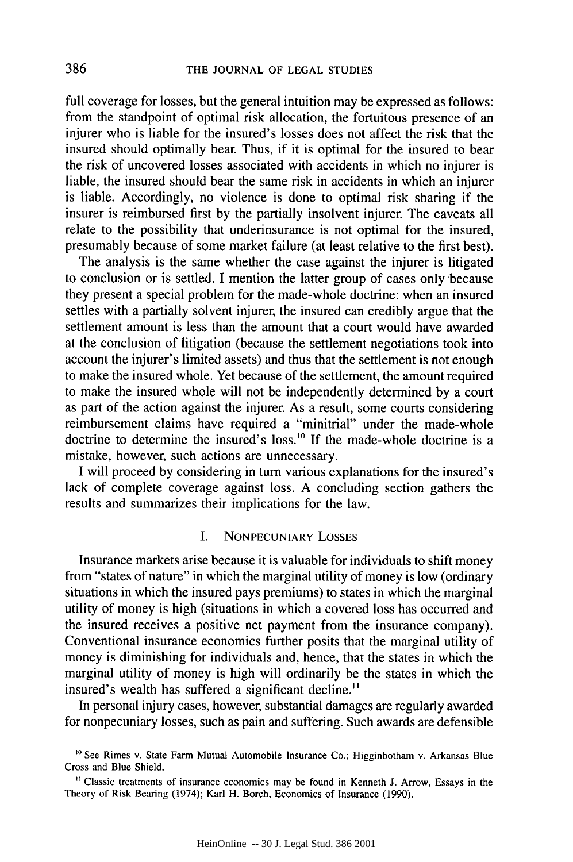full coverage for losses, but the general intuition may be expressed as follows: from the standpoint of optimal risk allocation, the fortuitous presence of an injurer who is liable for the insured's losses does not affect the risk that the insured should optimally bear. Thus, if it is optimal for the insured to bear the risk of uncovered losses associated with accidents in which no injurer is liable, the insured should bear the same risk in accidents in which an injurer is liable. Accordingly, no violence is done to optimal risk sharing if the insurer is reimbursed first by the partially insolvent injurer. The caveats all relate to the possibility that underinsurance is not optimal for the insured, presumably because of some market failure (at least relative to the first best).

The analysis is the same whether the case against the injurer is litigated to conclusion or is settled. I mention the latter group of cases only because they present a special problem for the made-whole doctrine: when an insured settles with a partially solvent injurer, the insured can credibly argue that the settlement amount is less than the amount that a court would have awarded at the conclusion of litigation (because the settlement negotiations took into account the injurer's limited assets) and thus that the settlement is not enough to make the insured whole. Yet because of the settlement, the amount required to make the insured whole will not be independently determined by a court as part of the action against the injurer. As a result, some courts considering reimbursement claims have required a "minitrial" under the made-whole doctrine to determine the insured's loss.<sup>10</sup> If the made-whole doctrine is a mistake, however, such actions are unnecessary.

I will proceed by considering in turn various explanations for the insured's lack of complete coverage against loss. A concluding section gathers the results and summarizes their implications for the law.

# I. **NONPECUNIARY** LOSSES

Insurance markets arise because it is valuable for individuals to shift money from "states of nature" in which the marginal utility of money is low (ordinary situations in which the insured pays premiums) to states in which the marginal utility of money is high (situations in which a covered loss has occurred and the insured receives a positive net payment from the insurance company). Conventional insurance economics further posits that the marginal utility of money is diminishing for individuals and, hence, that the states in which the marginal utility of money is high will ordinarily be the states in which the insured's wealth has suffered a significant decline.<sup>11</sup>

In personal injury cases, however, substantial damages are regularly awarded for nonpecuniary losses, such as pain and suffering. Such awards are defensible

<sup>&</sup>lt;sup>10</sup> See Rimes v. State Farm Mutual Automobile Insurance Co.; Higginbotham v. Arkansas Blue Cross and Blue Shield.

**<sup>&</sup>quot;** Classic treatments of insurance economics may be found in Kenneth **J.** Arrow, Essays in the Theory of Risk Bearing (1974); Karl H. Borch, Economics of Insurance (1990).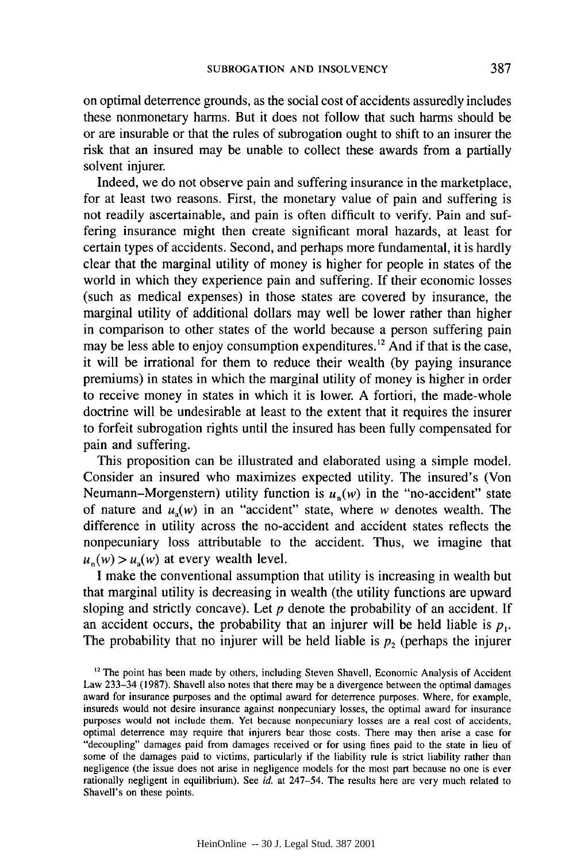on optimal deterrence grounds, as the social cost of accidents assuredly includes these nonmonetary harms. But it does not follow that such harms should be or are insurable or that the rules of subrogation ought to shift to an insurer the risk that an insured may be unable to collect these awards from a partially solvent injurer.

Indeed, we do not observe pain and suffering insurance in the marketplace, for at least two reasons. First, the monetary value of pain and suffering is not readily ascertainable, and pain is often difficult to verify. Pain and suffering insurance might then create significant moral hazards, at least for certain types of accidents. Second, and perhaps more fundamental, it is hardly clear that the marginal utility of money is higher for people in states of the world in which they experience pain and suffering. If their economic losses (such as medical expenses) in those states are covered by insurance, the marginal utility of additional dollars may well be lower rather than higher in comparison to other states of the world because a person suffering pain may be less able to enjoy consumption expenditures.<sup>12</sup> And if that is the case, it will be irrational for them to reduce their wealth (by paying insurance premiums) in states in which the marginal utility of money is higher in order to receive money in states in which it is lower. A fortiori, the made-whole doctrine will be undesirable at least to the extent that it requires the insurer to forfeit subrogation rights until the insured has been fully compensated for pain and suffering.

This proposition can be illustrated and elaborated using a simple model. Consider an insured who maximizes expected utility. The insured's (Von Neumann-Morgenstern) utility function is  $u_n(w)$  in the "no-accident" state of nature and  $u_n(w)$  in an "accident" state, where *w* denotes wealth. The difference in utility across the no-accident and accident states reflects the nonpecuniary loss attributable to the accident. Thus, we imagine that  $u_n(w) > u_n(w)$  at every wealth level.

I make the conventional assumption that utility is increasing in wealth but that marginal utility is decreasing in wealth (the utility functions are upward sloping and strictly concave). Let  $p$  denote the probability of an accident. If an accident occurs, the probability that an injurer will be held liable is  $p_1$ . The probability that no injurer will be held liable is  $p_2$  (perhaps the injurer

 $12$  The point has been made by others, including Steven Shavell, Economic Analysis of Accident Law 233-34 (1987). Shavell also notes that there may be a divergence between the optimal damages award for insurance purposes and the optimal award for deterrence purposes. Where, for example, insureds would not desire insurance against nonpecuniary losses, the optimal award for insurance purposes would not include them. Yet because nonpecuniary losses are a real cost of accidents, optimal deterrence may require that injurers bear those costs. There may then arise a case for "decoupling" damages paid from damages received or for using fines paid to the state in lieu of some of the damages paid to victims, particularly if the liability rule is strict liability rather than negligence (the issue does not arise in negligence models for the most part because no one is ever rationally negligent in equilibrium). See id. at 247-54. The results here are very much related to Shavell's on these points.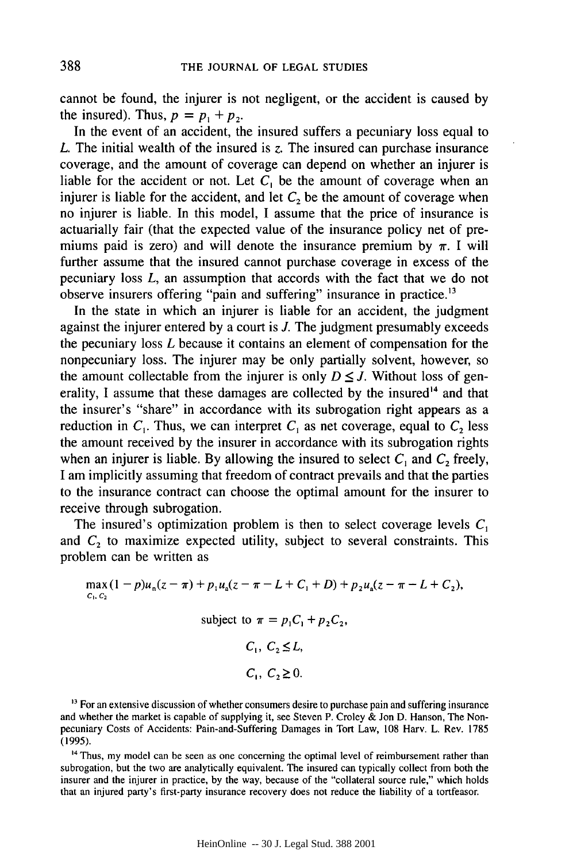cannot be found, the injurer is not negligent, or the accident is caused by the insured). Thus,  $p = p_1 + p_2$ .

In the event of an accident, the insured suffers a pecuniary loss equal to *L.* The initial wealth of the insured is z. The insured can purchase insurance coverage, and the amount of coverage can depend on whether an injurer is liable for the accident or not. Let  $C_1$  be the amount of coverage when an injurer is liable for the accident, and let  $C_2$  be the amount of coverage when no injurer is liable. In this model, I assume that the price of insurance is actuarially fair (that the expected value of the insurance policy net of premiums paid is zero) and will denote the insurance premium by  $\pi$ . I will further assume that the insured cannot purchase coverage in excess of the pecuniary loss *L,* an assumption that accords with the fact that we do not observe insurers offering "pain and suffering" insurance in practice.<sup>13</sup>

In the state in which an injurer is liable for an accident, the judgment against the injurer entered by a court is *J.* The judgment presumably exceeds the pecuniary loss *L* because it contains an element of compensation for the nonpecuniary loss. The injurer may be only partially solvent, however, so the amount collectable from the injurer is only  $D \leq J$ . Without loss of generality, I assume that these damages are collected by the insured  $44$  and that the insurer's "share" in accordance with its subrogation right appears as a reduction in  $C_1$ . Thus, we can interpret  $C_1$  as net coverage, equal to  $C_2$  less the amount received by the insurer in accordance with its subrogation rights when an injurer is liable. By allowing the insured to select  $C_1$  and  $C_2$  freely, I am implicitly assuming that freedom of contract prevails and that the parties to the insurance contract can choose the optimal amount for the insurer to receive through subrogation.

The insured's optimization problem is then to select coverage levels *C,* and  $C_2$  to maximize expected utility, subject to several constraints. This problem can be written as

$$
\max_{C_1, C_2} (1 - p)u_n(z - \pi) + p_1 u_n(z - \pi - L + C_1 + D) + p_2 u_n(z - \pi - L + C_2),
$$
  
subject to  $\pi = p_1 C_1 + p_2 C_2$ ,  
 $C_1, C_2 \le L$ ,  
 $C_1, C_2 \ge 0$ .

 $<sup>13</sup>$  For an extensive discussion of whether consumers desire to purchase pain and suffering insurance</sup> and whether the market is capable of supplying it, see Steven P. Croley & Jon D. Hanson, The Nonpecuniary Costs of Accidents: Pain-and-Suffering Damages in Tort Law, 108 Harv. L. Rev. 1785 (1995).

<sup>14</sup> Thus, my model can be seen as one concerning the optimal level of reimbursement rather than subrogation, but the two are analytically equivalent. The insured can typically collect from both the insurer and the injurer in practice, by the way, because of the "collateral source rule," which holds that an injured party's first-party insurance recovery does not reduce the liability of a tortfeasor.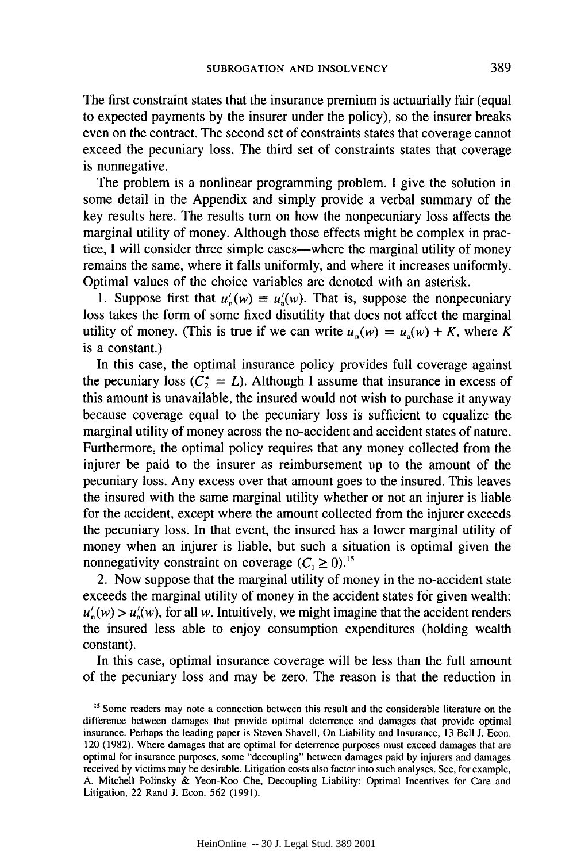The first constraint states that the insurance premium is actuarially fair (equal to expected payments by the insurer under the policy), so the insurer breaks even on the contract. The second set of constraints states that coverage cannot exceed the pecuniary loss. The third set of constraints states that coverage is nonnegative.

The problem is a nonlinear programming problem. I give the solution in some detail in the Appendix and simply provide a verbal summary of the key results here. The results turn on how the nonpecuniary loss affects the marginal utility of money. Although those effects might be complex in practice, I will consider three simple cases—where the marginal utility of money remains the same, where it falls uniformly, and where it increases uniformly. Optimal values of the choice variables are denoted with an asterisk.

1. Suppose first that  $u'_{n}(w) = u'_{n}(w)$ . That is, suppose the nonpecuniary loss takes the form of some fixed disutility that does not affect the marginal utility of money. (This is true if we can write  $u_n(w) = u_n(w) + K$ , where K is a constant.)

In this case, the optimal insurance policy provides full coverage against the pecuniary loss  $(C_2^* = L)$ . Although I assume that insurance in excess of this amount is unavailable, the insured would not wish to purchase it anyway because coverage equal to the pecuniary loss is sufficient to equalize the marginal utility of money across the no-accident and accident states of nature. Furthermore, the optimal policy requires that any money collected from the injurer be paid to the insurer as reimbursement up to the amount of the pecuniary loss. Any excess over that amount goes to the insured. This leaves the insured with the same marginal utility whether or not an injurer is liable for the accident, except where the amount collected from the injurer exceeds the pecuniary loss. In that event, the insured has a lower marginal utility of money when an injurer is liable, but such a situation is optimal given the **5** nonnegativity constraint on coverage  $(C_1 \ge 0)$ .<sup>15</sup>

2. Now suppose that the marginal utility of money in the no-accident state exceeds the marginal utility of money in the accident states for given wealth:  $u'_{n}(w) > u'_{n}(w)$ , for all w. Intuitively, we might imagine that the accident renders the insured less able to enjoy consumption expenditures (holding wealth constant).

In this case, optimal insurance coverage will be less than the full amount of the pecuniary loss and may be zero. The reason is that the reduction in

<sup>&</sup>lt;sup>15</sup> Some readers may note a connection between this result and the considerable literature on the difference between damages that provide optimal deterrence and damages that provide optimal insurance. Perhaps the leading paper is Steven Shavell, On Liability and Insurance, 13 Bell J. Econ. 120 (1982). Where damages that are optimal for deterrence purposes must exceed damages that are optimal for insurance purposes, some "decoupling" between damages paid by injurers and damages received by victims may be desirable. Litigation costs also factor into such analyses. See, for example, A. Mitchell Polinsky & Yeon-Koo Che, Decoupling Liability: Optimal Incentives for Care and Litigation, 22 Rand J. Econ. 562 (1991).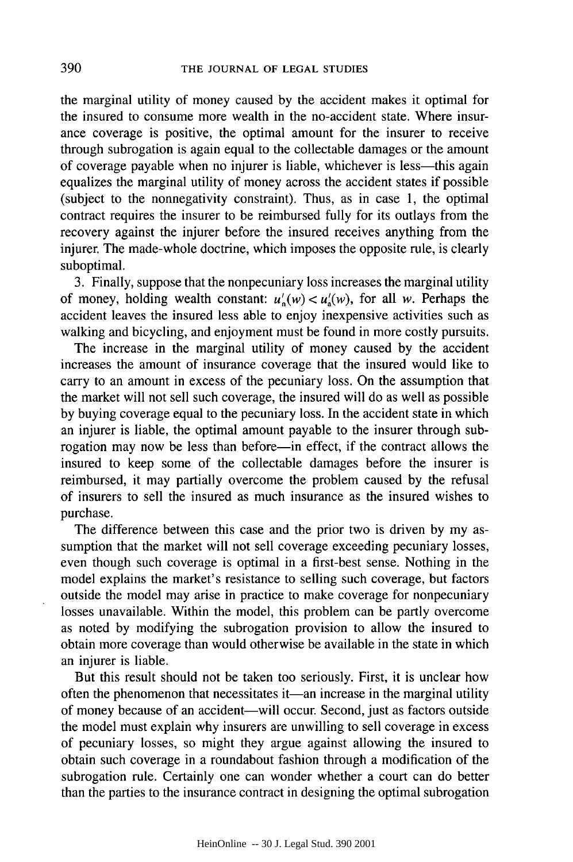the marginal utility of money caused by the accident makes it optimal for the insured to consume more wealth in the no-accident state. Where insurance coverage is positive, the optimal amount for the insurer to receive through subrogation is again equal to the collectable damages or the amount of coverage payable when no injurer is liable, whichever is less—this again equalizes the marginal utility of money across the accident states if possible (subject to the nonnegativity constraint). Thus, as in case 1, the optimal contract requires the insurer to be reimbursed fully for its outlays from the recovery against the injurer before the insured receives anything from the injurer. The made-whole doctrine, which imposes the opposite rule, is clearly suboptimal.

3. Finally, suppose that the nonpecuniary loss increases the marginal utility of money, holding wealth constant:  $u'_n(w) < u'_n(w)$ , for all w. Perhaps the accident leaves the insured less able to enjoy inexpensive activities such as walking and bicycling, and enjoyment must be found in more costly pursuits.

The increase in the marginal utility of money caused by the accident increases the amount of insurance coverage that the insured would like to carry to an amount in excess of the pecuniary loss. On the assumption that the market will not sell such coverage, the insured will do as well as possible by buying coverage equal to the pecuniary loss. In the accident state in which an injurer is liable, the optimal amount payable to the insurer through subrogation may now be less than before—in effect, if the contract allows the insured to keep some of the collectable damages before the insurer is reimbursed, it may partially overcome the problem caused by the refusal of insurers to sell the insured as much insurance as the insured wishes to purchase.

The difference between this case and the prior two is driven by my assumption that the market will not sell coverage exceeding pecuniary losses, even though such coverage is optimal in a first-best sense. Nothing in the model explains the market's resistance to selling such coverage, but factors outside the model may arise in practice to make coverage for nonpecuniary losses unavailable. Within the model, this problem can be partly overcome as noted by modifying the subrogation provision to allow the insured to obtain more coverage than would otherwise be available in the state in which an injurer is liable.

But this result should not be taken too seriously. First, it is unclear how often the phenomenon that necessitates it—an increase in the marginal utility of money because of an accident-will occur. Second, just as factors outside the model must explain why insurers are unwilling to sell coverage in excess of pecuniary losses, so might they argue against allowing the insured to obtain such coverage in a roundabout fashion through a modification of the subrogation rule. Certainly one can wonder whether a court can do better than the parties to the insurance contract in designing the optimal subrogation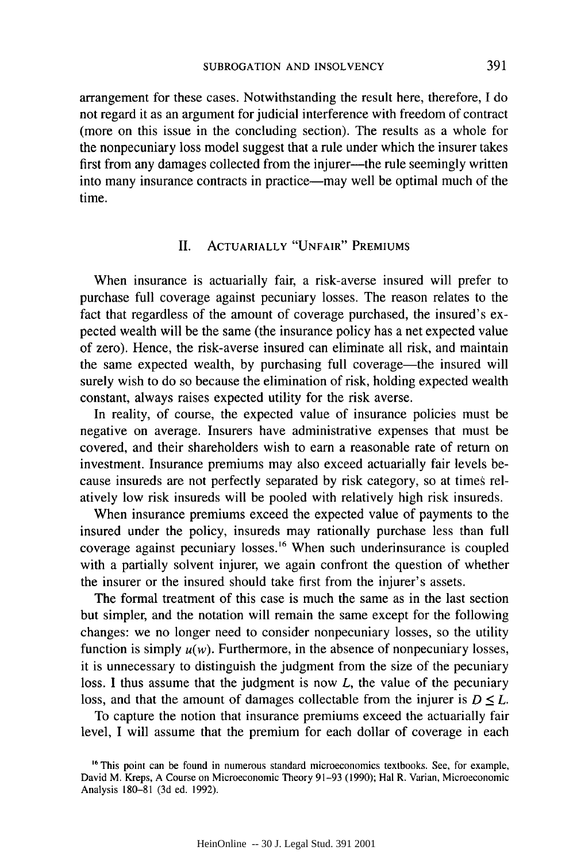arrangement for these cases. Notwithstanding the result here, therefore, I do not regard it as an argument for judicial interference with freedom of contract (more on this issue in the concluding section). The results as a whole for the nonpecuniary loss model suggest that a rule under which the insurer takes first from any damages collected from the injurer---the rule seemingly written into many insurance contracts in practice—may well be optimal much of the time.

# II. ACTUARIALLY **"UNFAIR"** PREMIUMS

When insurance is actuarially fair, a risk-averse insured will prefer to purchase full coverage against pecuniary losses. The reason relates to the fact that regardless of the amount of coverage purchased, the insured's expected wealth will be the same (the insurance policy has a net expected value of zero). Hence, the risk-averse insured can eliminate all risk, and maintain the same expected wealth, by purchasing full coverage—the insured will surely wish to do so because the elimination of risk, holding expected wealth constant, always raises expected utility for the risk averse.

In reality, of course, the expected value of insurance policies must be negative on average. Insurers have administrative expenses that must be covered, and their shareholders wish to earn a reasonable rate of return on investment. Insurance premiums may also exceed actuarially fair levels because insureds are not perfectly separated by risk category, so at times relatively low risk insureds will be pooled with relatively high risk insureds.

When insurance premiums exceed the expected value of payments to the insured under the policy, insureds may rationally purchase less than full coverage against pecuniary losses.'6 When such underinsurance is coupled with a partially solvent injurer, we again confront the question of whether the insurer or the insured should take first from the injurer's assets.

The formal treatment of this case is much the same as in the last section but simpler, and the notation will remain the same except for the following changes: we no longer need to consider nonpecuniary losses, so the utility function is simply  $u(w)$ . Furthermore, in the absence of nonpecuniary losses, it is unnecessary to distinguish the judgment from the size of the pecuniary loss. I thus assume that the judgment is now *L,* the value of the pecuniary loss, and that the amount of damages collectable from the injurer is  $D \leq L$ .

To capture the notion that insurance premiums exceed the actuarially fair level, I will assume that the premium for each dollar of coverage in each

**<sup>16</sup>**This point can be found in numerous standard microeconomics textbooks. See, for example, David M. Kreps, A Course on Microeconomic Theory 91-93 (1990); Hal R. Varian, Microeconomic Analysis 180-81 (3d ed. 1992).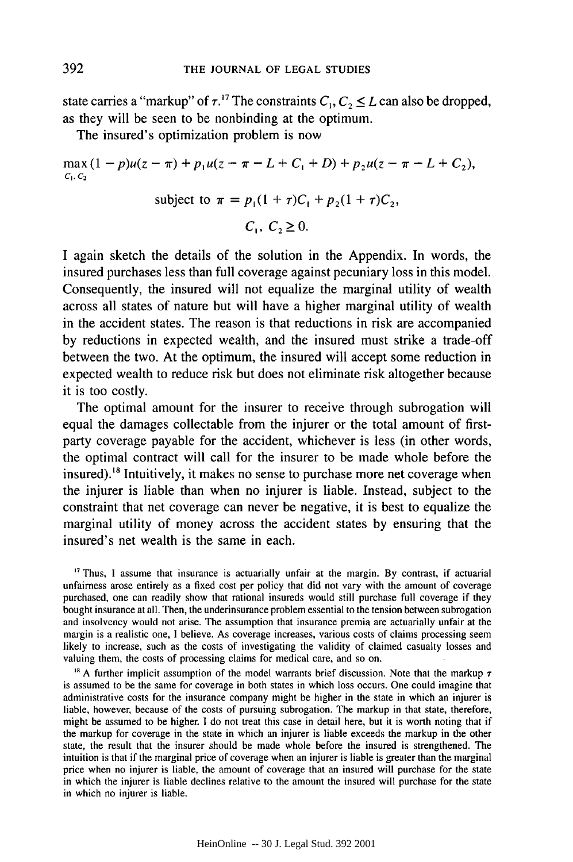state carries a "markup" of  $\tau$ .<sup>17</sup> The constraints  $C_1$ ,  $C_2 \leq L$  can also be dropped, as they will be seen to be nonbinding at the optimum.

The insured's optimization problem is now

$$
\max_{C_1, C_2} (1 - p)u(z - \pi) + p_1 u(z - \pi - L + C_1 + D) + p_2 u(z - \pi - L + C_2),
$$
  
subject to  $\pi = p_1(1 + \tau)C_1 + p_2(1 + \tau)C_2,$   
 $C_1, C_2 \ge 0.$ 

I again sketch the details of the solution in the Appendix. In words, the insured purchases less than full coverage against pecuniary loss in this model. Consequently, the insured will not equalize the marginal utility of wealth across all states of nature but will have a higher marginal utility of wealth in the accident states. The reason is that reductions in risk are accompanied by reductions in expected wealth, and the insured must strike a trade-off between the two. At the optimum, the insured will accept some reduction in expected wealth to reduce risk but does not eliminate risk altogether because it is too costly.

The optimal amount for the insurer to receive through subrogation will equal the damages collectable from the injurer or the total amount of firstparty coverage payable for the accident, whichever is less (in other words, the optimal contract will call for the insurer to be made whole before the insured).<sup>18</sup> Intuitively, it makes no sense to purchase more net coverage when the injurer is liable than when no injurer is liable. Instead, subject to the constraint that net coverage can never be negative, it is best to equalize the marginal utility of money across the accident states by ensuring that the insured's net wealth is the same in each.

**"7** Thus, I assume that insurance is actuarially unfair at the margin. By contrast, if actuarial unfairness arose entirely as a fixed cost per policy that did not vary with the amount of coverage purchased, one can readily show that rational insureds would still purchase full coverage if they bought insurance at all. Then, the underinsurance problem essential to the tension between subrogation and insolvency would not arise. The assumption that insurance premia are actuarially unfair at the margin is a realistic one, **I** believe. As coverage increases, various costs of claims processing seem likely to increase, such as the costs of investigating the validity of claimed casualty losses and valuing them, the costs of processing claims for medical care, and so on.

<sup>18</sup> A further implicit assumption of the model warrants brief discussion. Note that the markup  $\tau$ is assumed to be the same for coverage in both states in which loss occurs. One could imagine that administrative costs for the insurance company might be higher in the state in which an injurer is liable, however, because of the costs of pursuing subrogation. The markup in that state, therefore, might be assumed to be higher. I do not treat this case in detail here, but it is worth noting that if the markup for coverage in the state in which an injurer is liable exceeds the markup in the other state, the result that the insurer should be made whole before the insured is strengthened. The intuition is that if the marginal price of coverage when an injurer is liable is greater than the marginal price when no injurer is liable, the amount of coverage that an insured will purchase for the state in which the injurer is liable declines relative to the amount the insured will purchase for the state in which no injurer is liable.

392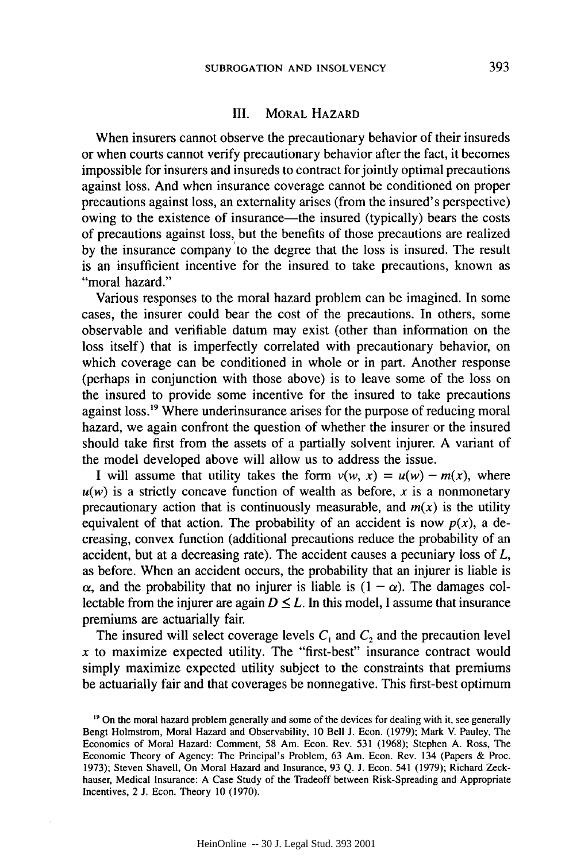## III. MORAL HAZARD

When insurers cannot observe the precautionary behavior of their insureds or when courts cannot verify precautionary behavior after the fact, it becomes impossible for insurers and insureds to contract for jointly optimal precautions against loss. And when insurance coverage cannot be conditioned on proper precautions against loss, an externality arises (from the insured's perspective) owing to the existence of insurance—the insured (typically) bears the costs of precautions against loss, but the benefits of those precautions are realized by the insurance company to the degree that the loss is insured. The result is an insufficient incentive for the insured to take precautions, known as "moral hazard."

Various responses to the moral hazard problem can be imagined. In some cases, the insurer could bear the cost of the precautions. In others, some observable and verifiable datum may exist (other than information on the loss itself) that is imperfectly correlated with precautionary behavior, on which coverage can be conditioned in whole or in part. Another response (perhaps in conjunction with those above) is to leave some of the loss on the insured to provide some incentive for the insured to take precautions against loss.<sup>19</sup> Where underinsurance arises for the purpose of reducing moral hazard, we again confront the question of whether the insurer or the insured should take first from the assets of a partially solvent injurer. A variant of the model developed above will allow us to address the issue.

I will assume that utility takes the form  $v(w, x) = u(w) - m(x)$ , where  $u(w)$  is a strictly concave function of wealth as before, x is a nonmonetary precautionary action that is continuously measurable, and  $m(x)$  is the utility equivalent of that action. The probability of an accident is now  $p(x)$ , a decreasing, convex function (additional precautions reduce the probability of an accident, but at a decreasing rate). The accident causes a pecuniary loss of *L,* as before. When an accident occurs, the probability that an injurer is liable is  $\alpha$ , and the probability that no injurer is liable is  $(1 - \alpha)$ . The damages collectable from the injurer are again  $D \leq L$ . In this model, I assume that insurance premiums are actuarially fair.

The insured will select coverage levels  $C_1$  and  $C_2$  and the precaution level  $x$  to maximize expected utility. The "first-best" insurance contract would simply maximize expected utility subject to the constraints that premiums be actuarially fair and that coverages be nonnegative. This first-best optimum

<sup>&</sup>lt;sup>19</sup> On the moral hazard problem generally and some of the devices for dealing with it, see generally Bengt Holmstrom, Moral Hazard and Observability, 10 Bell J. Econ. (1979); Mark V. Pauley, The Economics of Moral Hazard: Comment, 58 Am. Econ. Rev. 531 (1968); Stephen A. Ross, The Economic Theory of Agency: The Principal's Problem, 63 Am. Econ. Rev. 134 (Papers & Proc. 1973); Steven Shavell, On Moral Hazard and Insurance, 93 Q. J. Econ. 541 (1979); Richard Zeckhauser, Medical Insurance: A Case Study of the Tradeoff between Risk-Spreading and Appropriate Incentives, 2 J. Econ. Theory 10 (1970).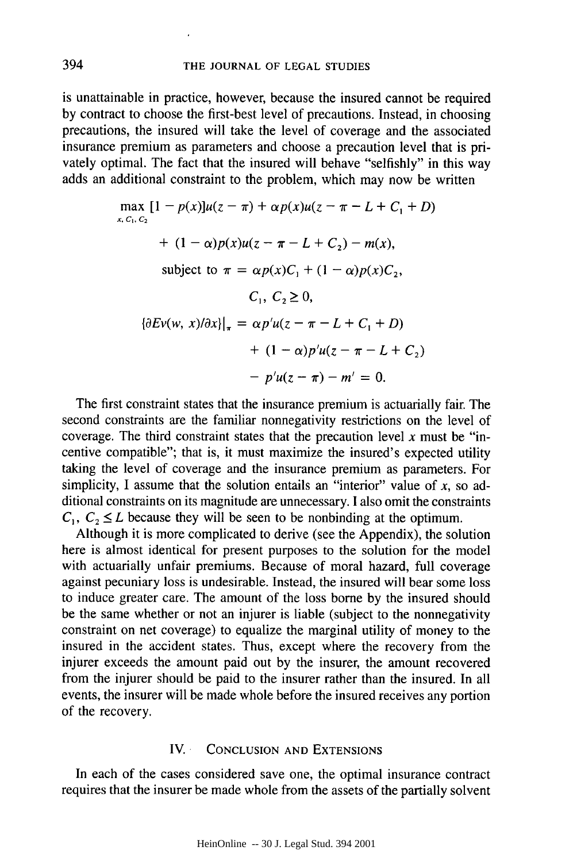is unattainable in practice, however, because the insured cannot be required by contract to choose the first-best level of precautions. Instead, in choosing precautions, the insured will take the level of coverage and the associated insurance premium as parameters and choose a precaution level that is privately optimal. The fact that the insured will behave "selfishly" in this way adds an additional constraint to the problem, which may now be written

$$
\max_{x, C_1, C_2} [1 - p(x)]u(z - π) + \alpha p(x)u(z - π - L + C_1 + D)
$$
  
+ (1 - α)p(x)u(z - π - L + C\_2) - m(x),  
subject to π = αp(x)C\_1 + (1 - α)p(x)C\_2,  
C\_1, C\_2 \ge 0,  
{δEν(w, x)/∂x}|\_{π} = αp'u(z - π - L + C\_1 + D)  
+ (1 - α)p'u(z - π - L + C\_2)  
- p'u(z - π) - m' = 0.

The first constraint states that the insurance premium is actuarially fair. The second constraints are the familiar nonnegativity restrictions on the level of coverage. The third constraint states that the precaution level  $x$  must be "incentive compatible"; that is, it must maximize the insured's expected utility taking the level of coverage and the insurance premium as parameters. For simplicity, I assume that the solution entails an "interior" value of *x,* so additional constraints on its magnitude are unnecessary. I also omit the constraints  $C_1, C_2 \leq L$  because they will be seen to be nonbinding at the optimum.

Although it is more complicated to derive (see the Appendix), the solution here is almost identical for present purposes to the solution for the model with actuarially unfair premiums. Because of moral hazard, full coverage against pecuniary loss is undesirable. Instead, the insured will bear some loss to induce greater care. The amount of the loss borne by the insured should be the same whether or not an injurer is liable (subject to the nonnegativity constraint on net coverage) to equalize the marginal utility of money to the insured in the accident states. Thus, except where the recovery from the injurer exceeds the amount paid out by the insurer, the amount recovered from the injurer should be paid to the insurer rather than the insured. In all events, the insurer will be made whole before the insured receives any portion of the recovery.

# IV. **CONCLUSION AND EXTENSIONS**

In each of the cases considered save one, the optimal insurance contract requires that the insurer be made whole from the assets of the partially solvent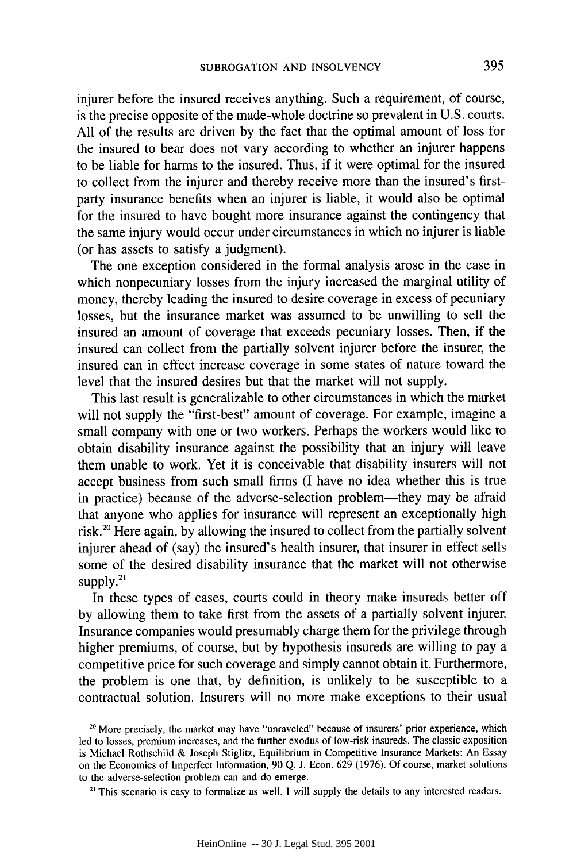injurer before the insured receives anything. Such a requirement, of course, is the precise opposite of the made-whole doctrine so prevalent in U.S. courts. All of the results are driven by the fact that the optimal amount of loss for the insured to bear does not vary according to whether an injurer happens to be liable for harms to the insured. Thus, if it were optimal for the insured to collect from the injurer and thereby receive more than the insured's firstparty insurance benefits when an injurer is liable, it would also be optimal for the insured to have bought more insurance against the contingency that the same injury would occur under circumstances in which no injurer is liable (or has assets to satisfy a judgment).

The one exception considered in the formal analysis arose in the case in which nonpecuniary losses from the injury increased the marginal utility of money, thereby leading the insured to desire coverage in excess of pecuniary losses, but the insurance market was assumed to be unwilling to sell the insured an amount of coverage that exceeds pecuniary losses. Then, if the insured can collect from the partially solvent injurer before the insurer, the insured can in effect increase coverage in some states of nature toward the level that the insured desires but that the market will not supply.

This last result is generalizable to other circumstances in which the market will not supply the "first-best" amount of coverage. For example, imagine a small company with one or two workers. Perhaps the workers would like to obtain disability insurance against the possibility that an injury will leave them unable to work. Yet it is conceivable that disability insurers will not accept business from such small firms (I have no idea whether this is true in practice) because of the adverse-selection problem-they may be afraid that anyone who applies for insurance will represent an exceptionally high risk.<sup>20</sup> Here again, by allowing the insured to collect from the partially solven injurer ahead of (say) the insured's health insurer, that insurer in effect sells some of the desired disability insurance that the market will not otherwise supply. $21$ 

In these types of cases, courts could in theory make insureds better off by allowing them to take first from the assets of a partially solvent injurer. Insurance companies would presumably charge them for the privilege through higher premiums, of course, but by hypothesis insureds are willing to pay a competitive price for such coverage and simply cannot obtain it. Furthermore, the problem is one that, by definition, is unlikely to be susceptible to a contractual solution. Insurers will no more make exceptions to their usual

<sup>21</sup> This scenario is easy to formalize as well. I will supply the details to any interested readers.

**<sup>20</sup>** More precisely, the market may have "unraveled" because of insurers' prior experience, which led to losses, premium increases, and the further exodus of low-risk insureds. The classic exposition is Michael Rothschild & Joseph Stiglitz, Equilibrium in Competitive Insurance Markets: An Essay on the Economics of Imperfect Information, 90 Q. J. Econ. 629 (1976). Of course, market solutions to the adverse-selection problem can and do emerge.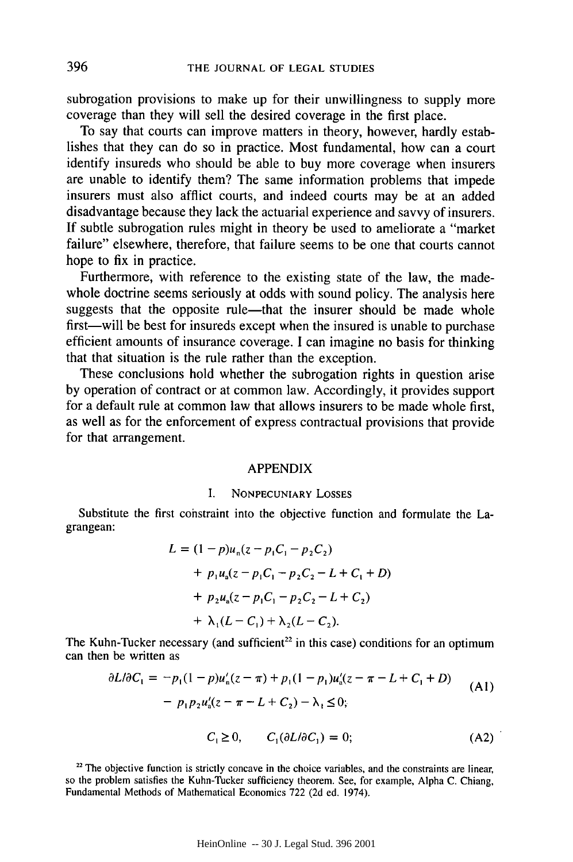subrogation provisions to make up for their unwillingness to supply more coverage than they will sell the desired coverage in the first place.

To say that courts can improve matters in theory, however, hardly establishes that they can do so in practice. Most fundamental, how can a court identify insureds who should be able to buy more coverage when insurers are unable to identify them? The same information problems that impede insurers must also afflict courts, and indeed courts may be at an added disadvantage because they lack the actuarial experience and savvy of insurers. If subtle subrogation rules might in theory be used to ameliorate a "market failure" elsewhere, therefore, that failure seems to be one that courts cannot hope to fix in practice.

Furthermore, with reference to the existing state of the law, the madewhole doctrine seems seriously at odds with sound policy. The analysis here suggests that the opposite rule-that the insurer should be made whole first—will be best for insureds except when the insured is unable to purchase efficient amounts of insurance coverage. I can imagine no basis for thinking that that situation is the rule rather than the exception.

These conclusions hold whether the subrogation rights in question arise by operation of contract or at common law. Accordingly, it provides support for a default rule at common law that allows insurers to be made whole first, as well as for the enforcement of express contractual provisions that provide for that arrangement.

#### APPENDIX

### I. NONPECUNIARY LosSES

Substitute the first constraint into the objective function and formulate the Lagrangean:

$$
L = (1 - p)u_n(z - p_1C_1 - p_2C_2)
$$
  
+  $p_1u_n(z - p_1C_1 - p_2C_2 - L + C_1 + D)$   
+  $p_2u_n(z - p_1C_1 - p_2C_2 - L + C_2)$   
+  $\lambda_1(L - C_1) + \lambda_2(L - C_2)$ .

The Kuhn-Tucker necessary (and sufficient<sup>22</sup> in this case) conditions for an optimum can then be written as

$$
\partial L/\partial C_1 = -p_1(1 - p)u'_n(z - \pi) + p_1(1 - p_1)u'_n(z - \pi - L + C_1 + D)
$$
\n
$$
- p_1 p_2 u'_n(z - \pi - L + C_2) - \lambda_1 \le 0;
$$
\n
$$
C_1 \ge 0, \qquad C_1(\partial L/\partial C_1) = 0;
$$
\n(A2)

<sup>22</sup> The objective function is strictly concave in the choice variables, and the constraints are linear, so the problem satisfies the Kuhn-Tucker sufficiency theorem. See, for example, Alpha C. Chiang, Fundamental Methods of Mathematical Economics 722 (2d ed. 1974).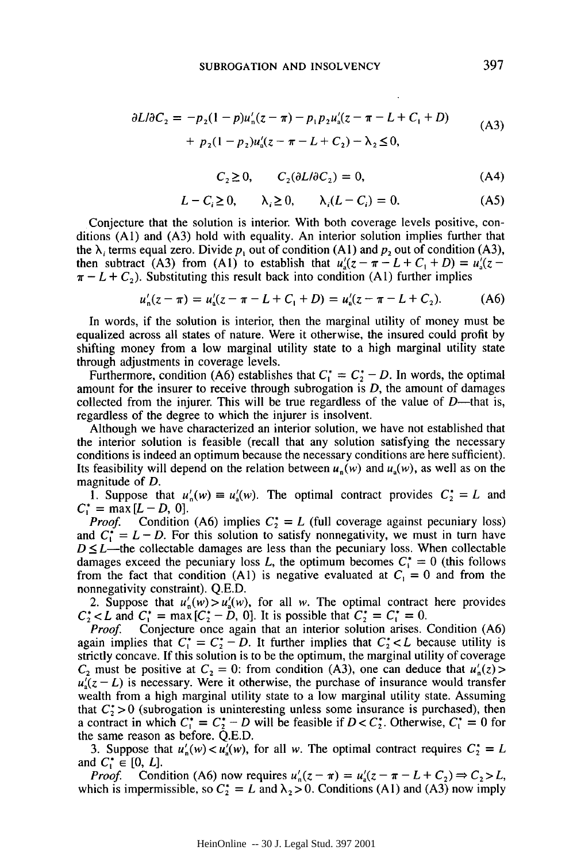$$
\partial L/\partial C_2 = -p_2(1-p)u'_n(z-\pi) - p_1p_2u'_n(z-\pi-L+C_1+D)
$$
  
+ 
$$
p_2(1-p_2)u'_n(z-\pi-L+C_2) - \lambda_2 \le 0,
$$
 (A3)

$$
C_2 \ge 0, \qquad C_2(\partial L/\partial C_2) = 0,\tag{A4}
$$

397

$$
L - C_i \ge 0, \qquad \lambda_i \ge 0, \qquad \lambda_i (L - C_i) = 0. \tag{A5}
$$

Conjecture that the solution is interior. With both coverage levels positive, conditions (Al) and (A3) hold with equality. An interior solution implies further that the  $\lambda_i$  terms equal zero. Divide  $p_i$  out of condition (A1) and  $p_2$  out of condition (A3), then subtract (A3) from (A1) to establish that  $u'_{a}(z - \pi - L + C_1 + D) = u'_{a}(z - \pi)$  $\pi - L + C_2$ ). Substituting this result back into condition (A1) further implies

$$
u'_{n}(z-\pi) = u'_{n}(z-\pi-L+C_{1}+D) = u'_{n}(z-\pi-L+C_{2}). \tag{A6}
$$

In words, if the solution is interior, then the marginal utility of money must be equalized across all states of nature. Were it otherwise, the insured could profit by shifting money from a low marginal utility state to a high marginal utility state through adjustments in coverage levels.

Furthermore, condition (A6) establishes that  $C_1^* = C_2^* - D$ . In words, the optimal amount for the insurer to receive through subrogation is *D,* the amount of damages collected from the injurer. This will be true regardless of the value of  $D$ —that is, regardless of the degree to which the injurer is insolvent.

Although we have characterized an interior solution, we have not established that the interior solution is feasible (recall that any solution satisfying the necessary conditions is indeed an optimum because the necessary conditions are here sufficient). Its feasibility will depend on the relation between  $u_n(w)$  and  $u_n(w)$ , as well as on the magnitude of *D.*

1. Suppose that  $u'_n(w) = u'_n(w)$ . The optimal contract provides  $C_2^* = L$  and  $C_1^* = \max [L - D, 0].$ 

*Proof.* Condition (A6) implies  $C_2^* = L$  (full coverage against pecuniary loss) and  $C_i^* = L - D$ . For this solution to satisfy nonnegativity, we must in turn have  $D \leq L$ —the collectable damages are less than the pecuniary loss. When collectable damages exceed the pecuniary loss *L*, the optimum becomes  $C_i^* = 0$  (this follows from the fact that condition (A1) is negative evaluated at  $C_1 = 0$  and from the nonnegativity constraint). Q.E.D.

2. Suppose that  $u'_n(w) > u'_n(w)$ , for all *w*. The optimal contract here provides  $C_2^* < L$  and  $C_1^* = \max [C_2^* - D, 0]$ . It is possible that  $C_2^* = C_1^* = 0$ .

*Proof.* Conjecture once again that an interior solution arises. Condition (A6) again implies that  $C_1^* = C_2^* - D$ . It further implies that  $C_2^* < L$  because utility is strictly concave. If this solution is to be the optimum, the marginal utility of coverage  $C_2$  must be positive at  $C_2 = 0$ : from condition (A3), one can deduce that  $u'_n(z)$  $u'_{n}(z - L)$  is necessary. Were it otherwise, the purchase of insurance would transfer wealth from a high marginal utility state to a low marginal utility state. Assuming that  $C_2^* > 0$  (subrogation is uninteresting unless some insurance is purchased), then a contract in which  $C_1^* = C_2^* - D$  will be feasible if  $D < C_2^*$ . Otherwise,  $C_1^* = 0$  for the same reason as before. **Q.E.D.**

3. Suppose that  $u'_n(w) < u'_n(w)$ , for all *w*. The optimal contract requires  $C_2^* = L$ and  $C_1^* \in [0, L]$ .

*Proof.* Condition (A6) now requires  $u'_n(z - \pi) = u'_n(z - \pi - L + C_2) \Rightarrow C_2 > L$ , which is impermissible, so  $C_2^* = L$  and  $\lambda_2 > 0$ . Conditions (A1) and (A3) now imply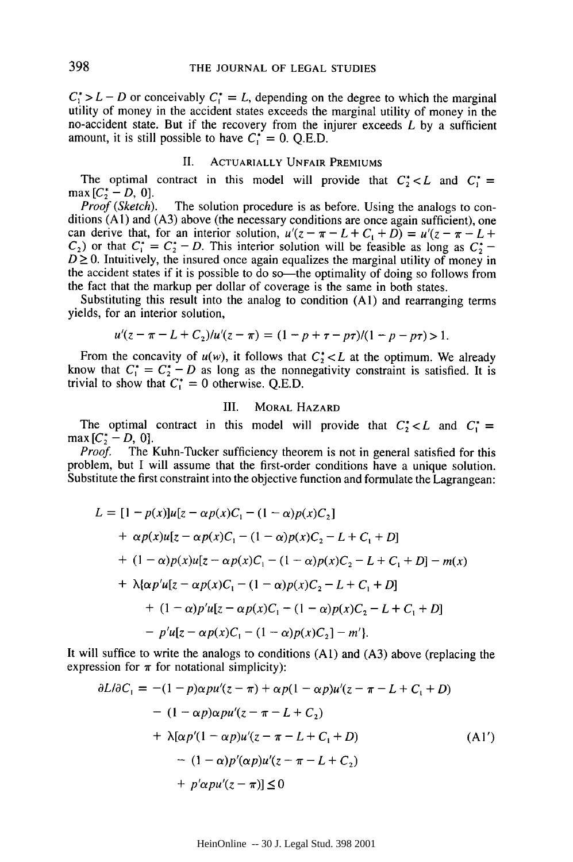$C_1^*$  > *L* – *D* or conceivably  $C_1^*$  = *L*, depending on the degree to which the marginal utility of money in the accident states exceeds the marginal utility of money in the no-accident state. But if the recovery from the injurer exceeds *L* by a sufficient amount, it is still possible to have  $C_1^* = 0$ . Q.E.D.

#### II. ACTUARIALLY **UNFAIR** PREMIUMS

The optimal contract in this model will provide that  $C_2^* < L$  and  $C_1^* =$  $max [C_2^* - D, 0].$ 

*Proof (Sketch).* The solution procedure is as before. Using the analogs to conditions (A1) and (A3) above (the necessary conditions are once again sufficient), one can derive that, for an interior solution,  $u'(z - \pi - L + C_1 + D) = u'(z - \pi - L + D_1)$  $C_2$ ) or that  $C_1^* = C_2^* - D$ . This interior solution will be feasible as long as  $C_2^*$  - $D \geq 0$ . Intuitively, the insured once again equalizes the marginal utility of money in the accident states if it is possible to do so—the optimality of doing so follows from the fact that the markup per dollar of coverage is the same in both states.

Substituting this result into the analog to condition (Al) and rearranging terms yields, for an interior solution,

$$
u'(z - \pi - L + C_2) / u'(z - \pi) = (1 - p + \tau - p\tau) / (1 - p - p\tau) > 1.
$$

From the concavity of  $u(w)$ , it follows that  $C_2^* < L$  at the optimum. We already know that  $C_1^* = C_2^* - D$  as long as the nonnegativity constraint is satisfied. It is trivial to show that  $C_1^* = 0$  otherwise. Q.E.D.

#### III. MORAL HAZARD

The optimal contract in this model will provide that  $C_2^* < L$  and  $C_1^* =$  $max [C_2^* - D, 0].$ 

*Proof.* The Kuhn-Tucker sufficiency theorem is not in general satisfied for this problem, but **I** will assume that the first-order conditions have a unique solution. Substitute the first constraint into the objective function and formulate the Lagrangean:

$$
L = [1 - p(x)]u[z - \alpha p(x)C_1 - (1 - \alpha)p(x)C_2]
$$
  
+  $\alpha p(x)u[z - \alpha p(x)C_1 - (1 - \alpha)p(x)C_2 - L + C_1 + D]$   
+  $(1 - \alpha)p(x)u[z - \alpha p(x)C_1 - (1 - \alpha)p(x)C_2 - L + C_1 + D] - m(x)$   
+  $\lambda[\alpha p'u[z - \alpha p(x)C_1 - (1 - \alpha)p(x)C_2 - L + C_1 + D]$   
+  $(1 - \alpha)p'u[z - \alpha p(x)C_1 - (1 - \alpha)p(x)C_2 - L + C_1 + D]$   
-  $p'u[z - \alpha p(x)C_1 - (1 - \alpha)p(x)C_2] - m'.$ 

It will suffice to write the analogs to conditions (Al) and (A3) above (replacing the expression for  $\pi$  for notational simplicity):

$$
\partial L/\partial C_1 = -(1-p)\alpha p u'(z-\pi) + \alpha p(1-\alpha p)u'(z-\pi-L+C_1+D)
$$
  
 
$$
- (1-\alpha p)\alpha p u'(z-\pi-L+C_2)
$$
  
 
$$
+ \lambda[\alpha p'(1-\alpha p)u'(z-\pi-L+C_1+D)
$$
  
 
$$
- (1-\alpha)p'(\alpha p)u'(z-\pi-L+C_2)
$$
  
 
$$
+ p'\alpha p u'(z-\pi)] \le 0
$$
 (A1')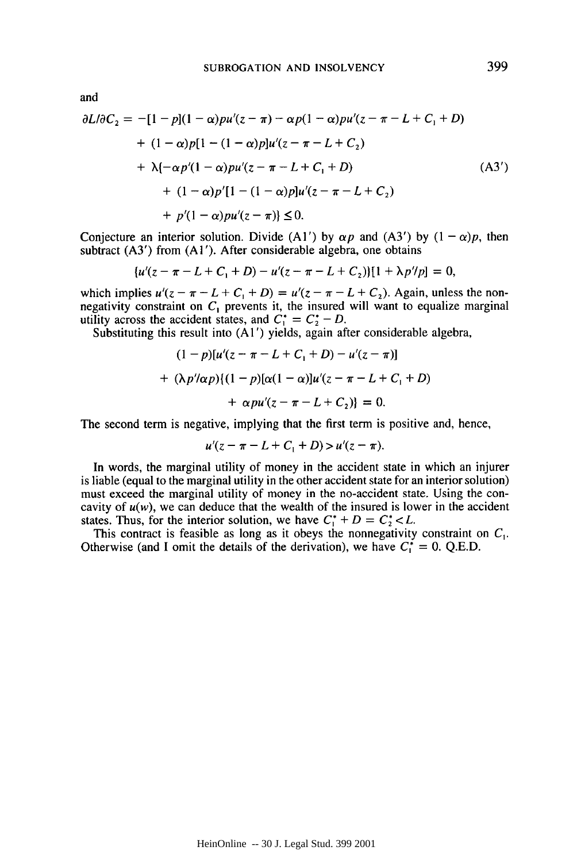$$
\partial L/\partial C_2 = -[1 - p](1 - \alpha)pu'(z - \pi) - \alpha p(1 - \alpha)pu'(z - \pi - L + C_1 + D)
$$
  
+ 
$$
(1 - \alpha)p[1 - (1 - \alpha)p]u'(z - \pi - L + C_2)
$$
  
+ 
$$
\lambda\{-\alpha p'(1 - \alpha)pu'(z - \pi - L + C_1 + D)
$$
  
+ 
$$
(1 - \alpha)p'[1 - (1 - \alpha)p]u'(z - \pi - L + C_2)
$$
  
+ 
$$
p'(1 - \alpha)pu'(z - \pi)\leq 0.
$$
 (A3')

Conjecture an interior solution. Divide (A1') by  $\alpha p$  and (A3') by  $(1 - \alpha)p$ , then subtract (A3') from (Al *').* After considerable algebra, one obtains

$$
\{u'(z-\pi-L+C_1+D)-u'(z-\pi-L+C_2)\}[1+\lambda p'/p]=0,
$$

which implies  $u'(z - \pi - L + C_1 + D) = u'(z - \pi - L + C_2)$ . Again, unless the nonnegativity constraint on *C,* prevents it, the insured will want to equalize marginal utility across the accident states, and  $C_1^* = C_2^* - D$ .

Substituting this result into **(Al')** yields, again after considerable algebra,

$$
(1-p)[u'(z-\pi-L+C_1+D)-u'(z-\pi)]
$$
  
+  $(\lambda p'|\alpha p)\{(1-p)[\alpha(1-\alpha)]u'(z-\pi-L+C_1+D)$   
+  $\alpha pu'(z-\pi-L+C_2)\}=0.$ 

The second term is negative, implying that the first term is positive and, hence,

$$
u'(z - \pi - L + C_1 + D) > u'(z - \pi).
$$

In words, the marginal utility of money in the accident state in which an injurer is liable (equal to the marginal utility in the other accident state for an interior solution) must exceed the marginal utility of money in the no-accident state. Using the concavity of  $u(w)$ , we can deduce that the wealth of the insured is lower in the accident states. Thus, for the interior solution, we have  $C_1^* + D = C_2^* < L$ .

This contract is feasible as long as it obeys the nonnegativity constraint on *C.* Otherwise (and I omit the details of the derivation), we have  $C_1^* = 0$ . Q.E.D.